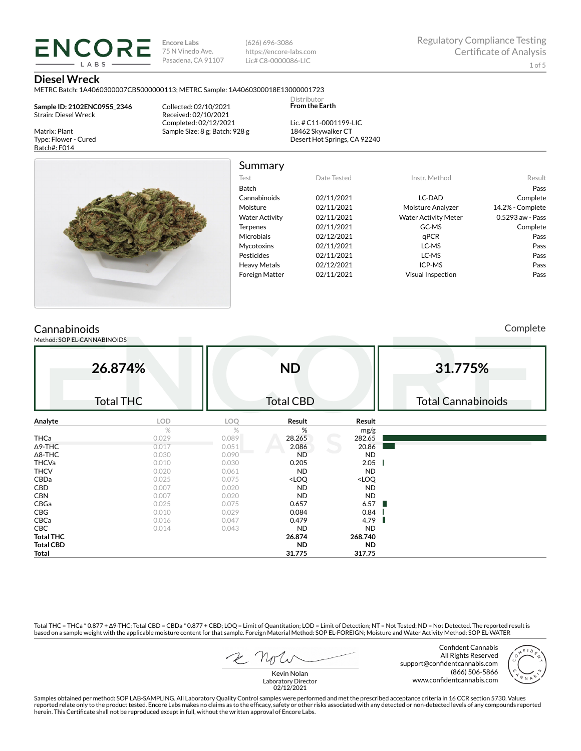**Encore Labs** 75 N Vinedo Ave. Pasadena, CA 91107 (626) 696-3086 https://encore-labs.com Lic# C8-0000086-LIC

> Distributor **From the Earth**

#### **Diesel Wreck**

METRC Batch: 1A4060300007CB5000000113; METRC Sample: 1A4060300018E13000001723

**Sample ID: 2102ENC0955\_2346** Strain: Diesel Wreck

**ENCORE IARS** 

Matrix: Plant Type: Flower - Cured Batch#: F014

Collected: 02/10/2021 Received: 02/10/2021 Completed: 02/12/2021 Sample Size: 8 g; Batch: 928 g

Lic. # C11-0001199-LIC 18462 Skywalker CT Desert Hot Springs, CA 92240



Summary

| Test                  | Date Tested | Instr. Method               | Result           |
|-----------------------|-------------|-----------------------------|------------------|
| <b>Batch</b>          |             |                             | Pass             |
| Cannabinoids          | 02/11/2021  | LC-DAD                      | Complete         |
| Moisture              | 02/11/2021  | Moisture Analyzer           | 14.2% - Complete |
| <b>Water Activity</b> | 02/11/2021  | <b>Water Activity Meter</b> | 0.5293 aw - Pass |
| <b>Terpenes</b>       | 02/11/2021  | GC-MS                       | Complete         |
| <b>Microbials</b>     | 02/12/2021  | aPCR                        | Pass             |
| <b>Mycotoxins</b>     | 02/11/2021  | LC-MS                       | Pass             |
| Pesticides            | 02/11/2021  | LC-MS                       | Pass             |
| <b>Heavy Metals</b>   | 02/12/2021  | ICP-MS                      | Pass             |
| <b>Foreign Matter</b> | 02/11/2021  | <b>Visual Inspection</b>    | Pass             |
|                       |             |                             |                  |

# **Cannabinoids**

Method: SOP EL-CANNABINOIDS

Complete

|                  | 26.874%<br><b>Total THC</b> |       | <b>ND</b><br><b>Total CBD</b>                            |                              | 31.775%<br><b>Total Cannabinoids</b> |
|------------------|-----------------------------|-------|----------------------------------------------------------|------------------------------|--------------------------------------|
| Analyte          | LOD                         | LOQ   | Result                                                   | Result                       |                                      |
|                  | $\%$                        | $\%$  | %                                                        | mg/g                         |                                      |
| THCa             | 0.029                       | 0.089 | 28.265                                                   | 282.65                       |                                      |
| $\Delta$ 9-THC   | 0.017                       | 0.051 | 2.086                                                    | 20.86                        |                                      |
| $\Delta$ 8-THC   | 0.030                       | 0.090 | <b>ND</b>                                                | <b>ND</b>                    |                                      |
| THCVa            | 0.010                       | 0.030 | 0.205                                                    | 2.05                         |                                      |
| <b>THCV</b>      | 0.020                       | 0.061 | <b>ND</b>                                                | <b>ND</b>                    |                                      |
| CBDa             | 0.025                       | 0.075 | <loq< td=""><td><loq< td=""><td></td></loq<></td></loq<> | <loq< td=""><td></td></loq<> |                                      |
| CBD              | 0.007                       | 0.020 | <b>ND</b>                                                | <b>ND</b>                    |                                      |
| <b>CBN</b>       | 0.007                       | 0.020 | <b>ND</b>                                                | <b>ND</b>                    |                                      |
| CBGa             | 0.025                       | 0.075 | 0.657                                                    | 6.57                         |                                      |
| CBG              | 0.010                       | 0.029 | 0.084                                                    | 0.84                         |                                      |
| CBCa             | 0.016                       | 0.047 | 0.479                                                    | 4.79                         |                                      |
| CBC              | 0.014                       | 0.043 | <b>ND</b>                                                | <b>ND</b>                    |                                      |
| <b>Total THC</b> |                             |       | 26.874                                                   | 268.740                      |                                      |
| <b>Total CBD</b> |                             |       | <b>ND</b>                                                | <b>ND</b>                    |                                      |
| Total            |                             |       | 31.775                                                   | 317.75                       |                                      |

Total THC = THCa \* 0.877 + ∆9-THC; Total CBD = CBDa \* 0.877 + CBD; LOQ = Limit of Quantitation; LOD = Limit of Detection; NT = Not Tested; ND = Not Detected. The reported result is based on a sample weight with the applicable moisture content for that sample. Foreign Material Method: SOP EL-FOREIGN; Moisture and Water Activity Method: SOP EL-WATER

Confident Cannabis All Rights Reserved support@confidentcannabis.com (866) 506-5866 www.confidentcannabis.com



Kevin Nolan Laboratory Director 02/12/2021

Samples obtained per method: SOP LAB-SAMPLING. All Laboratory Quality Control samples were performed and met the prescribed acceptance criteria in 16 CCR section 5730. Values reported relate only to the product tested. Encore Labs makes no claims as to the efficacy, safety or other risks associated with any detected or non-detected levels of any compounds reported<br>herein. This Certificate shall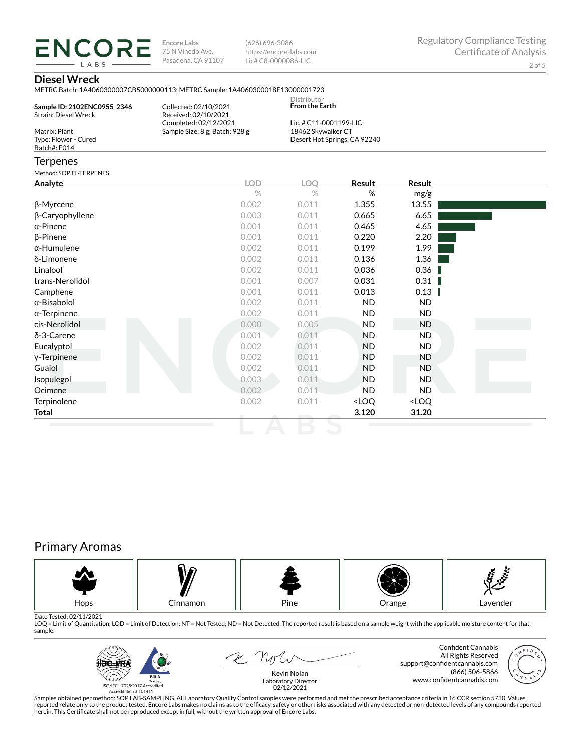**ENCORE Encore Labs** 75 N Vinedo Ave. Pasadena, CA 91107

(626) 696-3086 https://encore-labs.com Lic# C8-0000086-LIC

## **Diesel Wreck**

**LARS** 

| Sample ID: 2102ENC0955 2346                                                          | Collected: 02/10/2021                                                           | Distributor<br><b>From the Earth</b>         |                              |               |  |
|--------------------------------------------------------------------------------------|---------------------------------------------------------------------------------|----------------------------------------------|------------------------------|---------------|--|
| <b>Strain: Diesel Wreck</b><br>Matrix: Plant<br>Type: Flower - Cured<br>Batch#: F014 | Received: 02/10/2021<br>Completed: 02/12/2021<br>Sample Size: 8 g; Batch: 928 g | Lic. # C11-0001199-LIC<br>18462 Skywalker CT | Desert Hot Springs, CA 92240 |               |  |
| <b>Terpenes</b>                                                                      |                                                                                 |                                              |                              |               |  |
| Method: SOP EL-TERPENES                                                              |                                                                                 |                                              |                              |               |  |
| Analyte                                                                              | <b>LOD</b>                                                                      | LOO                                          | Result                       | <b>Result</b> |  |
|                                                                                      | $\%$                                                                            | $\%$                                         | %                            | mg/g          |  |
| β-Myrcene                                                                            | 0.002                                                                           | 0.011                                        | 1.355                        | 13.55         |  |
| $\beta$ -Caryophyllene                                                               | 0.003                                                                           | 0.011                                        | 0.665                        | 6.65          |  |
| $\alpha$ -Pinene                                                                     | 0.001                                                                           | 0.011                                        | 0.465                        | 4.65          |  |
| $\beta$ -Pinene                                                                      | 0.001                                                                           | 0.011                                        | 0.220                        | 2.20          |  |
| $\alpha$ -Humulene                                                                   | 0.002                                                                           | 0.011                                        | 0.199                        | 1.99          |  |

| <b>B-Pinene</b>     | 0.001 | 0.011 | 0.220                                                    | 2.20                         |  |
|---------------------|-------|-------|----------------------------------------------------------|------------------------------|--|
| $\alpha$ -Humulene  | 0.002 | 0.011 | 0.199                                                    | 1.99                         |  |
| δ-Limonene          | 0.002 | 0.011 | 0.136                                                    | 1.36                         |  |
| Linalool            | 0.002 | 0.011 | 0.036                                                    | 0.36                         |  |
| trans-Nerolidol     | 0.001 | 0.007 | 0.031                                                    | 0.31                         |  |
| Camphene            | 0.001 | 0.011 | 0.013                                                    | 0.13                         |  |
| $\alpha$ -Bisabolol | 0.002 | 0.011 | ND.                                                      | ND.                          |  |
| $\alpha$ -Terpinene | 0.002 | 0.011 | ND.                                                      | ND.                          |  |
| cis-Nerolidol       | 0.000 | 0.005 | <b>ND</b>                                                | ND                           |  |
| δ-3-Carene          | 0.001 | 0.011 | <b>ND</b>                                                | ND.                          |  |
| Eucalyptol          | 0.002 | 0.011 | ND.                                                      | ND.                          |  |
| y-Terpinene         | 0.002 | 0.011 | ND                                                       | ND.                          |  |
| Guaiol              | 0.002 | 0.011 | ND.                                                      | ND.                          |  |
| Isopulegol          | 0.003 | 0.011 | ND.                                                      | ND.                          |  |
| Ocimene             | 0.002 | 0.011 | ND.                                                      | ND.                          |  |
| Terpinolene         | 0.002 | 0.011 | <loq< th=""><th><loq< th=""><th></th></loq<></th></loq<> | <loq< th=""><th></th></loq<> |  |
| <b>Total</b>        |       |       | 3.120                                                    | 31.20                        |  |

# Primary Aromas



Date Tested: 02/11/2021<br>LOQ = Limit of Quantitation; LOD = Limit of Detection; NT = Not Tested; ND = Not Detected. The reported result is based on a sample weight with the applicable moisture content for that sample.



2 not

Confident Cannabis All Rights Reserved support@confidentcannabis.com (866) 506-5866 www.confidentcannabis.com



Kevin Nolan Laboratory Director 02/12/2021

Samples obtained per method: SOP LAB-SAMPLING. All Laboratory Quality Control samples were performed and met the prescribed acceptance criteria in 16 CCR section 5730. Values reported relate only to the product tested. Encore Labs makes no claims as to the efficacy, safety or other risks associated with any detected or non-detected levels of any compounds reported<br>herein. This Certificate shall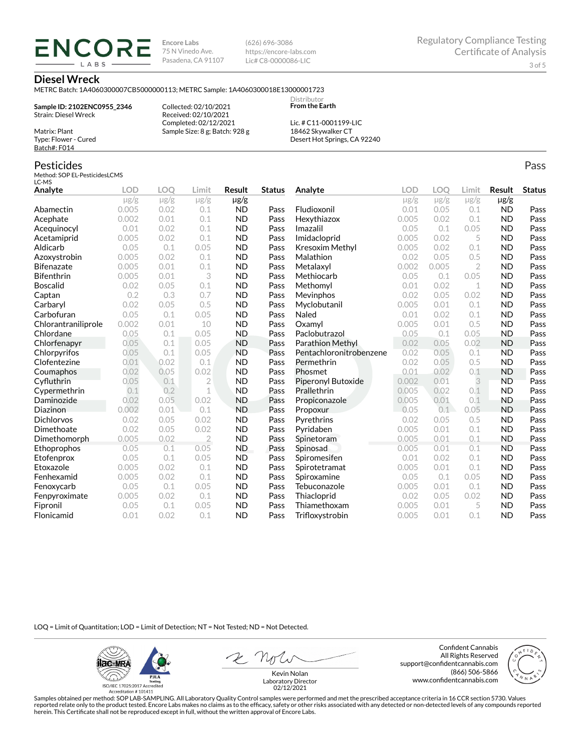**Encore Labs** 75 N Vinedo Ave. Pasadena, CA 91107 (626) 696-3086 https://encore-labs.com Lic# C8-0000086-LIC

> Distributor **From the Earth**

#### **Diesel Wreck**

Matrix: Plant Type: Flower - Cured Batch#: F014

Pesticides

METRC Batch: 1A4060300007CB5000000113; METRC Sample: 1A4060300018E13000001723

**Sample ID: 2102ENC0955\_2346** Strain: Diesel Wreck

**ENCORE IARS** 

> Received: 02/10/2021 Completed: 02/12/2021 Sample Size: 8 g; Batch: 928 g

Collected: 02/10/2021

Lic. # C11-0001199-LIC 18462 Skywalker CT Desert Hot Springs, CA 92240

#### Method: SOP EL-PesticidesLCMS LC-MS **Analyte LOD LOQ Limit Result Status**  $\mu$ g/g  $\mu$ g/g  $\mu$ g/g  $\mu$ g/g Abamectin 0.005 0.02 0.1 ND Pass Acephate 0.002 0.01 0.1 ND Pass Acequinocyl 0.01 0.02 0.1 ND Pass Acetamiprid 0.005 0.02 0.1 ND Pass Aldicarb 0.05 0.1 0.05 ND Pass Azoxystrobin 0.005 0.02 0.1 ND Pass Bifenazate 0.005 0.01 0.1 ND Pass Bifenthrin 0.005 0.01 3 ND Pass Boscalid 0.02 0.05 0.1 ND Pass **Captan 12 0.2 0.3 0.7 ND Pass Carbaryl 0.02 0.05 0.5 ND Pass** Carbofuran 0.05 0.1 0.05 ND Pass Chlorantraniliprole 0.002 0.01 10 ND Pass Chlordane 0.05 0.1 0.05 ND Pass Chlorfenapyr 0.05 0.1 0.05 ND Pass Chlorpyrifos 0.05 0.1 0.05 ND Pass Clofentezine 0.01 0.02 0.1 ND Pass Coumaphos 0.02 0.05 0.02 ND Pass Cyfluthrin 0.05 0.1 2 ND Pass Cypermethrin 0.1 0.2 1 ND Pass Daminozide 0.02 0.05 0.02 ND Pass **Diazinon** 0.002 0.01 0.1 ND Pass Dichlorvos 0.02 0.05 0.02 ND Pass Dimethoate 0.02 0.05 0.02 ND Pass Dimethomorph 0.005 0.02 2 ND Pass Ethoprophos 0.05 0.1 0.05 ND Pass Etofenprox 0.05 0.1 0.05 ND Pass Etoxazole 0.005 0.02 0.1 ND Pass Fenhexamid 0.005 0.02 0.1 ND Pass Fenoxycarb 0.05 0.1 0.05 ND Pass Fenpyroximate 0.005 0.02 0.1 ND Pass Fipronil 0.05 0.1 0.05 ND Pass Flonicamid 0.01 0.02 0.1 ND Pass **Analyte LOD LOQ Limit Result Status**  $\mu$ g/g  $\mu$ g/g  $\mu$ g/g  $\mu$ g/g Fludioxonil 0.01 0.05 0.1 ND Pass Hexythiazox 0.005 0.02 0.1 ND Pass **Imazalil 11 0.05 0.1 0.05 ND Pass** Imidacloprid 0.005 0.02 5 ND Pass Kresoxim Methyl  $0.005$  0.02 0.1 ND Pass **Malathion** 0.02 0.05 0.5 **ND Pass** Metalaxyl 0.002 0.005 2 ND Pass Methiocarb 0.05 0.1 0.05 ND Pass **Methomyl** 0.01 0.02 1 **ND Pass** Mevinphos 0.02 0.05 0.02 ND Pass Myclobutanil 0.005 0.01 0.1 ND Pass **Naled 1200 0.01 0.02 0.1 ND Pass Oxamyl** 0.005 0.01 0.5 **ND Pass** Paclobutrazol 0.05 0.1 0.05 ND Pass Parathion Methyl 0.02 0.05 0.02 ND Pass Pentachloronitrobenzene 0.02 0.05 0.1 ND Pass Permethrin 0.02 0.05 0.5 ND Pass Phosmet 0.01 0.02 0.1 ND Pass Piperonyl Butoxide 0.002 0.01 3 ND Pass Prallethrin 0.005 0.02 0.1 ND Pass Propiconazole 0.005 0.01 0.1 ND Pass **Propoxur 1988 0.05 0.1 0.05 ND Pass Pyrethrins 0.02 0.05 0.5 ND Pass Pyridaben 1988 0.005 0.01 0.1 ND Pass Spinetoram 0.005 0.01 0.1 ND Pass** Spinosad 0.005 0.01 0.1 ND Pass Spiromesifen 0.01 0.02 0.1 ND Pass Spirotetramat 0.005 0.01 0.1 ND Pass Spiroxamine 0.05 0.1 0.05 ND Pass Tebuconazole 0.005 0.01 0.1 ND Pass Thiacloprid 0.02 0.05 0.02 ND Pass Thiamethoxam 0.005 0.01 5 ND Pass Trifloxystrobin 0.005 0.01 0.1 ND Pass

LOQ = Limit of Quantitation; LOD = Limit of Detection; NT = Not Tested; ND = Not Detected.

**ilac-MRA P.ILA** أيطيبك ISO/IEC 17025:2017 Ac

Accreditation #101411

Z Not

Confident Cannabis All Rights Reserved support@confidentcannabis.com (866) 506-5866 www.confidentcannabis.com



Kevin Nolan Laboratory Director 02/12/2021

Samples obtained per method: SOP LAB-SAMPLING. All Laboratory Quality Control samples were performed and met the prescribed acceptance criteria in 16 CCR section 5730. Values reported relate only to the product tested. Encore Labs makes no claims as to the efficacy, safety or other risks associated with any detected or non-detected levels of any compounds reported herein. This Certificate shall not be reproduced except in full, without the written approval of Encore Labs.

Pass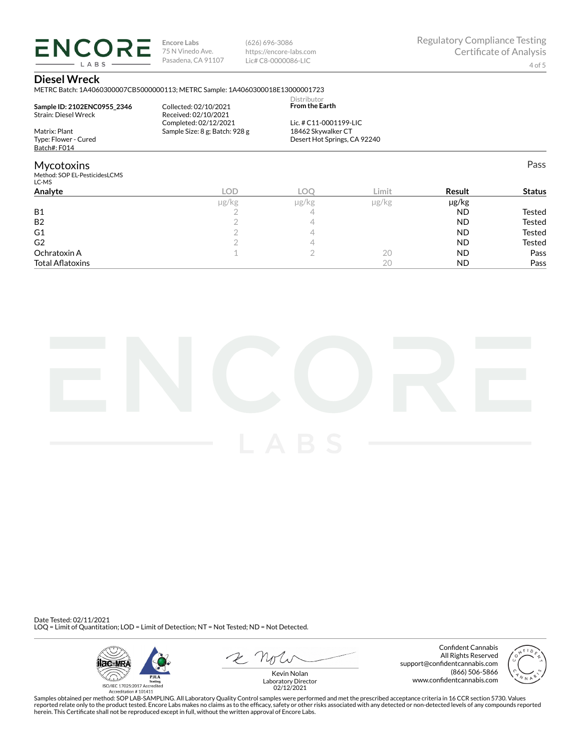**ENCORE Encore Labs** 75 N Vinedo Ave. Pasadena, CA 91107 LABS

(626) 696-3086 https://encore-labs.com Lic# C8-0000086-LIC

## **Diesel Wreck**

METRC Batch: 1A4060300007CB5000000113; METRC Sample: 1A4060300018E13000001723

| Sample ID: 2102ENC0955 2346<br><b>Strain: Diesel Wreck</b> | Collected: 02/10/2021<br>Received: 02/10/2021<br>Completed: 02/12/2021 | Distributor<br><b>From the Earth</b><br>Lic. # C11-0001199-LIC |                                   |          |               |
|------------------------------------------------------------|------------------------------------------------------------------------|----------------------------------------------------------------|-----------------------------------|----------|---------------|
| Matrix: Plant                                              | Sample Size: 8 g; Batch: 928 g                                         | 18462 Skywalker CT                                             |                                   |          |               |
| Type: Flower - Cured                                       |                                                                        | Desert Hot Springs, CA 92240                                   |                                   |          |               |
| Batch#: F014                                               |                                                                        |                                                                |                                   |          |               |
| <b>Mycotoxins</b>                                          |                                                                        |                                                                |                                   |          | Pass          |
| Method: SOP EL-PesticidesLCMS<br>LC-MS                     |                                                                        |                                                                |                                   |          |               |
| Analyte                                                    | <b>LOD</b>                                                             | LOO                                                            | Limit                             | Result   | <b>Status</b> |
|                                                            | $\cdot$ $\cdot$ $\sim$ $\sqrt{2}$                                      | $\cdot$ $\cdot$ $\sim$ $\sqrt{2}$                              | $\cdot$ $\cdot$ $\sim$ $\sqrt{2}$ | ۔۔۔ الصن |               |

|                         | µg/kg | µg/kg | µg/kg | µg/kg     |        |
|-------------------------|-------|-------|-------|-----------|--------|
| <b>B1</b>               |       |       |       | <b>ND</b> | Tested |
| B <sub>2</sub>          |       |       |       | <b>ND</b> | Tested |
| G <sub>1</sub>          |       |       |       | <b>ND</b> | Tested |
| G <sub>2</sub>          |       |       |       | <b>ND</b> | Tested |
| Ochratoxin A            |       | -     | 20    | <b>ND</b> | Pass   |
| <b>Total Aflatoxins</b> |       |       | 20    | <b>ND</b> | Pass   |



Date Tested: 02/11/2021 LOQ = Limit of Quantitation; LOD = Limit of Detection; NT = Not Tested; ND = Not Detected.



Confident Cannabis All Rights Reserved support@confidentcannabis.com (866) 506-5866 www.confidentcannabis.com



Kevin Nolan Laboratory Director 02/12/2021

Samples obtained per method: SOP LAB-SAMPLING. All Laboratory Quality Control samples were performed and met the prescribed acceptance criteria in 16 CCR section 5730. Values reported relate only to the product tested. Encore Labs makes no claims as to the efficacy, safety or other risks associated with any detected or non-detected levels of any compounds reported<br>herein. This Certificate shall